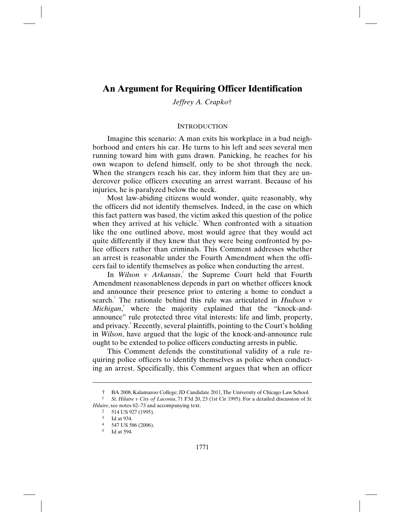*Jeffrey A. Crapko*†

# **INTRODUCTION**

Imagine this scenario: A man exits his workplace in a bad neighborhood and enters his car. He turns to his left and sees several men running toward him with guns drawn. Panicking, he reaches for his own weapon to defend himself, only to be shot through the neck. When the strangers reach his car, they inform him that they are undercover police officers executing an arrest warrant. Because of his injuries, he is paralyzed below the neck.

Most law-abiding citizens would wonder, quite reasonably, why the officers did not identify themselves. Indeed, in the case on which this fact pattern was based, the victim asked this question of the police when they arrived at his vehicle.<sup>1</sup> When confronted with a situation like the one outlined above, most would agree that they would act quite differently if they knew that they were being confronted by police officers rather than criminals. This Comment addresses whether an arrest is reasonable under the Fourth Amendment when the officers fail to identify themselves as police when conducting the arrest.

In *Wilson v Arkansas*<sup>2</sup>, the Supreme Court held that Fourth Amendment reasonableness depends in part on whether officers knock and announce their presence prior to entering a home to conduct a search. 3 The rationale behind this rule was articulated in *Hudson v*  Michigan,<sup>4</sup> where the majority explained that the "knock-andannounce" rule protected three vital interests: life and limb, property, and privacy.<sup>5</sup> Recently, several plaintiffs, pointing to the Court's holding in *Wilson*, have argued that the logic of the knock-and-announce rule ought to be extended to police officers conducting arrests in public.

This Comment defends the constitutional validity of a rule requiring police officers to identify themselves as police when conducting an arrest. Specifically, this Comment argues that when an officer

*Hilaire*, see notes 62–73 and accompanying text.

<sup>†</sup> BA 2008, Kalamazoo College; JD Candidate 2011, The University of Chicago Law School. 1 *St. Hilaire v City of Laconia*, 71 F3d 20, 23 (1st Cir 1995). For a detailed discussion of *St.* 

<sup>2 514</sup> US 927 (1995).

<sup>3</sup> Id at 934.

<sup>4 547</sup> US 586 (2006).

<sup>5</sup> Id at 594.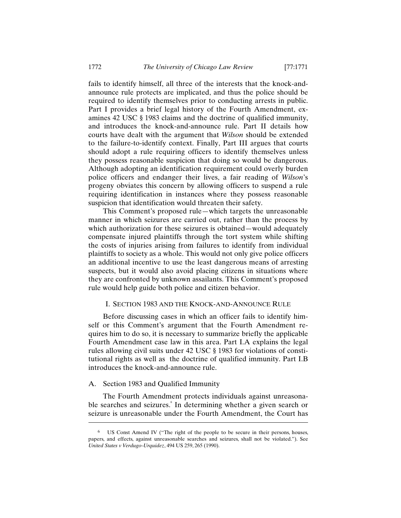fails to identify himself, all three of the interests that the knock-andannounce rule protects are implicated, and thus the police should be required to identify themselves prior to conducting arrests in public. Part I provides a brief legal history of the Fourth Amendment, examines 42 USC § 1983 claims and the doctrine of qualified immunity, and introduces the knock-and-announce rule. Part II details how courts have dealt with the argument that *Wilson* should be extended to the failure-to-identify context. Finally, Part III argues that courts should adopt a rule requiring officers to identify themselves unless they possess reasonable suspicion that doing so would be dangerous. Although adopting an identification requirement could overly burden police officers and endanger their lives, a fair reading of *Wilson*'s progeny obviates this concern by allowing officers to suspend a rule requiring identification in instances where they possess reasonable suspicion that identification would threaten their safety.

This Comment's proposed rule—which targets the unreasonable manner in which seizures are carried out, rather than the process by which authorization for these seizures is obtained—would adequately compensate injured plaintiffs through the tort system while shifting the costs of injuries arising from failures to identify from individual plaintiffs to society as a whole. This would not only give police officers an additional incentive to use the least dangerous means of arresting suspects, but it would also avoid placing citizens in situations where they are confronted by unknown assailants. This Comment's proposed rule would help guide both police and citizen behavior.

# I. SECTION 1983 AND THE KNOCK-AND-ANNOUNCE RULE

Before discussing cases in which an officer fails to identify himself or this Comment's argument that the Fourth Amendment requires him to do so, it is necessary to summarize briefly the applicable Fourth Amendment case law in this area. Part I.A explains the legal rules allowing civil suits under 42 USC § 1983 for violations of constitutional rights as well as the doctrine of qualified immunity. Part I.B introduces the knock-and-announce rule.

# A. Section 1983 and Qualified Immunity

-

The Fourth Amendment protects individuals against unreasonable searches and seizures. 6 In determining whether a given search or seizure is unreasonable under the Fourth Amendment, the Court has

<sup>6</sup> US Const Amend IV ("The right of the people to be secure in their persons, houses, papers, and effects, against unreasonable searches and seizures, shall not be violated."). See *United States v Verdugo-Urquidez*, 494 US 259, 265 (1990).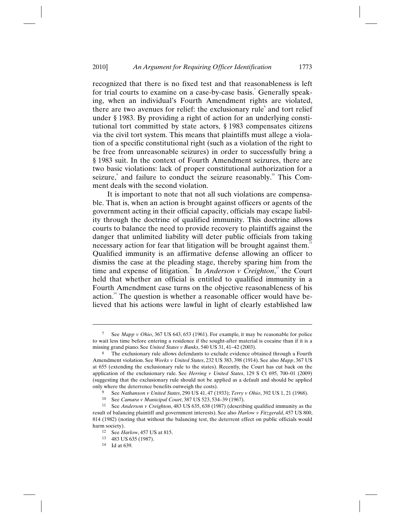recognized that there is no fixed test and that reasonableness is left for trial courts to examine on a case-by-case basis.<sup>7</sup> Generally speaking, when an individual's Fourth Amendment rights are violated, there are two avenues for relief: the exclusionary rule<sup>8</sup> and tort relief under § 1983. By providing a right of action for an underlying constitutional tort committed by state actors, § 1983 compensates citizens via the civil tort system. This means that plaintiffs must allege a violation of a specific constitutional right (such as a violation of the right to be free from unreasonable seizures) in order to successfully bring a § 1983 suit. In the context of Fourth Amendment seizures, there are two basic violations: lack of proper constitutional authorization for a seizure, and failure to conduct the seizure reasonably.<sup>10</sup> This Comment deals with the second violation.

It is important to note that not all such violations are compensable. That is, when an action is brought against officers or agents of the government acting in their official capacity, officials may escape liability through the doctrine of qualified immunity. This doctrine allows courts to balance the need to provide recovery to plaintiffs against the danger that unlimited liability will deter public officials from taking necessary action for fear that litigation will be brought against them.<sup>11</sup> Qualified immunity is an affirmative defense allowing an officer to dismiss the case at the pleading stage, thereby sparing him from the time and expense of litigation.<sup>12</sup> In *Anderson v Creighton*,<sup>13</sup> the Court held that whether an official is entitled to qualified immunity in a Fourth Amendment case turns on the objective reasonableness of his action.<sup>14</sup> The question is whether a reasonable officer would have believed that his actions were lawful in light of clearly established law

<sup>7</sup> See *Mapp v Ohio*, 367 US 643, 653 (1961). For example, it may be reasonable for police to wait less time before entering a residence if the sought-after material is cocaine than if it is a missing grand piano. See *United States v Banks*, 540 US 31, 41–42 (2003).

The exclusionary rule allows defendants to exclude evidence obtained through a Fourth Amendment violation. See *Weeks v United States*, 232 US 383, 398 (1914). See also *Mapp*, 367 US at 655 (extending the exclusionary rule to the states). Recently, the Court has cut back on the application of the exclusionary rule. See *Herring v United States*, 129 S Ct 695, 700–01 (2009) (suggesting that the exclusionary rule should not be applied as a default and should be applied only where the deterrence benefits outweigh the costs).

<sup>9</sup> See *Nathanson v United States*, 290 US 41, 47 (1933); *Terry v Ohio*, 392 US 1, 21 (1968).

<sup>10</sup> See *Camara v Municipal Court*, 387 US 523, 534–39 (1967).

<sup>11</sup> See *Anderson v Creighton*, 483 US 635, 638 (1987) (describing qualified immunity as the result of balancing plaintiff and government interests). See also *Harlow v Fitzgerald*, 457 US 800, 814 (1982) (noting that without the balancing test, the deterrent effect on public officials would harm society).

<sup>12</sup> See *Harlow*, 457 US at 815.

<sup>13 483</sup> US 635 (1987).

<sup>14</sup> Id at 639.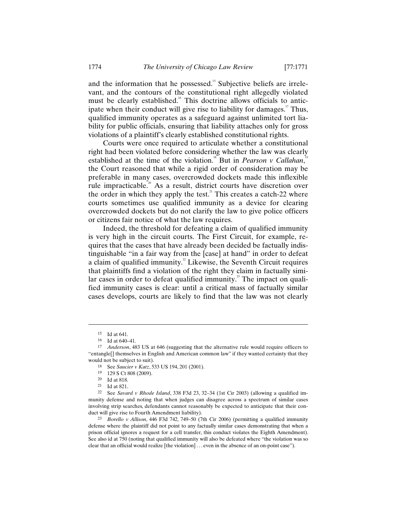and the information that he possessed.<sup>15</sup> Subjective beliefs are irrelevant, and the contours of the constitutional right allegedly violated must be clearly established.<sup>16</sup> This doctrine allows officials to anticipate when their conduct will give rise to liability for damages.<sup>17</sup> Thus, qualified immunity operates as a safeguard against unlimited tort liability for public officials, ensuring that liability attaches only for gross violations of a plaintiff's clearly established constitutional rights.

Courts were once required to articulate whether a constitutional right had been violated before considering whether the law was clearly established at the time of the violation.<sup>18</sup> But in *Pearson v Callahan*,<sup>19</sup> the Court reasoned that while a rigid order of consideration may be preferable in many cases, overcrowded dockets made this inflexible rule impracticable.<sup>20</sup> As a result, district courts have discretion over the order in which they apply the test. $2^2$  This creates a catch-22 where courts sometimes use qualified immunity as a device for clearing overcrowded dockets but do not clarify the law to give police officers or citizens fair notice of what the law requires.

Indeed, the threshold for defeating a claim of qualified immunity is very high in the circuit courts. The First Circuit, for example, requires that the cases that have already been decided be factually indistinguishable "in a fair way from the [case] at hand" in order to defeat a claim of qualified immunity.<sup>22</sup> Likewise, the Seventh Circuit requires that plaintiffs find a violation of the right they claim in factually similar cases in order to defeat qualified immunity. $^3$  The impact on qualified immunity cases is clear: until a critical mass of factually similar cases develops, courts are likely to find that the law was not clearly

<sup>15</sup> Id at 641.

<sup>16</sup> Id at 640–41.

<sup>17</sup> *Anderson*, 483 US at 646 (suggesting that the alternative rule would require officers to "entangle[] themselves in English and American common law" if they wanted certainty that they would not be subject to suit).

<sup>18</sup> See *Saucier v Katz*, 533 US 194, 201 (2001).<br>19 120 S Ct 808 (2000).

<sup>19 129</sup> S Ct 808 (2009).

<sup>20</sup> Id at 818.

<sup>21</sup> Id at 821.

<sup>22</sup> See *Savard v Rhode Island*, 338 F3d 23, 32–34 (1st Cir 2003) (allowing a qualified immunity defense and noting that when judges can disagree across a spectrum of similar cases involving strip searches, defendants cannot reasonably be expected to anticipate that their conduct will give rise to Fourth Amendment liability).

<sup>23</sup> *Borello v Allison*, 446 F3d 742, 749–50 (7th Cir 2006) (permitting a qualified immunity defense where the plaintiff did not point to any factually similar cases demonstrating that when a prison official ignores a request for a cell transfer, this conduct violates the Eighth Amendment). See also id at 750 (noting that qualified immunity will also be defeated where "the violation was so clear that an official would realize [the violation] . . . even in the absence of an on-point case").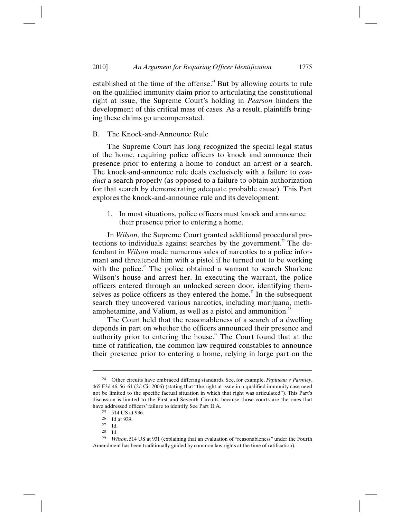established at the time of the offense. $^4$  But by allowing courts to rule on the qualified immunity claim prior to articulating the constitutional right at issue, the Supreme Court's holding in *Pearson* hinders the development of this critical mass of cases. As a result, plaintiffs bringing these claims go uncompensated.

## B. The Knock-and-Announce Rule

The Supreme Court has long recognized the special legal status of the home, requiring police officers to knock and announce their presence prior to entering a home to conduct an arrest or a search. The knock-and-announce rule deals exclusively with a failure to *conduct* a search properly (as opposed to a failure to obtain authorization for that search by demonstrating adequate probable cause). This Part explores the knock-and-announce rule and its development.

1. In most situations, police officers must knock and announce their presence prior to entering a home.

In *Wilson*, the Supreme Court granted additional procedural protections to individuals against searches by the government.<sup>25</sup> The defendant in *Wilson* made numerous sales of narcotics to a police informant and threatened him with a pistol if he turned out to be working with the police.<sup>26</sup> The police obtained a warrant to search Sharlene Wilson's house and arrest her. In executing the warrant, the police officers entered through an unlocked screen door, identifying themselves as police officers as they entered the home.<sup>27</sup> In the subsequent search they uncovered various narcotics, including marijuana, methamphetamine, and Valium, as well as a pistol and ammunition. $^{\text{28}}$ 

The Court held that the reasonableness of a search of a dwelling depends in part on whether the officers announced their presence and authority prior to entering the house.<sup>29</sup> The Court found that at the time of ratification, the common law required constables to announce their presence prior to entering a home, relying in large part on the

 $\overline{a}$ 

 $Id.$ 

<sup>24</sup> Other circuits have embraced differing standards. See, for example, *Papineau v Parmley*, 465 F3d 46, 56–61 (2d Cir 2006) (stating that "the right at issue in a qualified immunity case need not be limited to the specific factual situation in which that right was articulated"). This Part's discussion is limited to the First and Seventh Circuits, because those courts are the ones that have addressed officers' failure to identify. See Part II.A.

<sup>25 514</sup> US at 936.

 $\frac{26}{27}$  Id at 929.

 $\frac{27}{28}$  Id.

<sup>29</sup> *Wilson*, 514 US at 931 (explaining that an evaluation of "reasonableness" under the Fourth Amendment has been traditionally guided by common law rights at the time of ratification).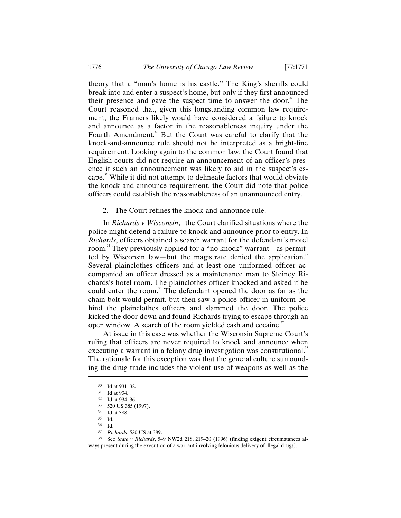theory that a "man's home is his castle." The King's sheriffs could break into and enter a suspect's home, but only if they first announced their presence and gave the suspect time to answer the door.<sup>30</sup> The Court reasoned that, given this longstanding common law requirement, the Framers likely would have considered a failure to knock and announce as a factor in the reasonableness inquiry under the Fourth Amendment.<sup>31</sup> But the Court was careful to clarify that the knock-and-announce rule should not be interpreted as a bright-line requirement. Looking again to the common law, the Court found that English courts did not require an announcement of an officer's presence if such an announcement was likely to aid in the suspect's escape.<sup>2</sup> While it did not attempt to delineate factors that would obviate the knock-and-announce requirement, the Court did note that police officers could establish the reasonableness of an unannounced entry.

2. The Court refines the knock-and-announce rule.

In *Richards v Wisconsin*, 33 the Court clarified situations where the police might defend a failure to knock and announce prior to entry. In *Richards*, officers obtained a search warrant for the defendant's motel room.<sup>34</sup> They previously applied for a "no knock" warrant—as permitted by Wisconsin law—but the magistrate denied the application.<sup>35</sup> Several plainclothes officers and at least one uniformed officer accompanied an officer dressed as a maintenance man to Steiney Richards's hotel room. The plainclothes officer knocked and asked if he could enter the room.<sup>36</sup> The defendant opened the door as far as the chain bolt would permit, but then saw a police officer in uniform behind the plainclothes officers and slammed the door. The police kicked the door down and found Richards trying to escape through an open window. A search of the room yielded cash and cocaine.<sup>37</sup>

At issue in this case was whether the Wisconsin Supreme Court's ruling that officers are never required to knock and announce when executing a warrant in a felony drug investigation was constitutional.<sup>38</sup> The rationale for this exception was that the general culture surrounding the drug trade includes the violent use of weapons as well as the

 $\overline{a}$ 

38 See *State v Richards*, 549 NW2d 218, 219–20 (1996) (finding exigent circumstances always present during the execution of a warrant involving felonious delivery of illegal drugs).

<sup>30</sup> Id at 931–32.

<sup>31</sup> Id at 934.

<sup>32</sup> Id at 934–36.

<sup>33 520</sup> US 385 (1997).

<sup>34</sup> Id at 388.

 $\frac{35}{36}$  Id.

 $\frac{36}{37}$  Id.

<sup>37</sup> *Richards*, 520 US at 389.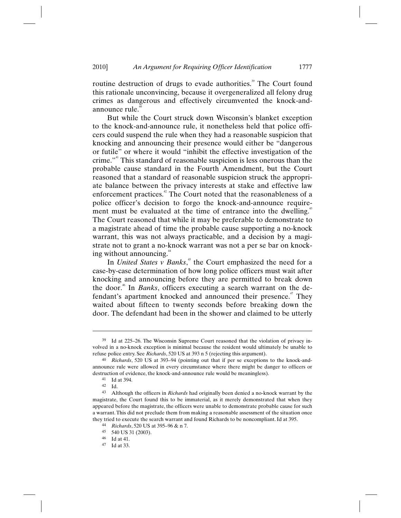routine destruction of drugs to evade authorities.<sup>39</sup> The Court found this rationale unconvincing, because it overgeneralized all felony drug crimes as dangerous and effectively circumvented the knock-andannounce rule. 40

But while the Court struck down Wisconsin's blanket exception to the knock-and-announce rule, it nonetheless held that police officers could suspend the rule when they had a reasonable suspicion that knocking and announcing their presence would either be "dangerous or futile" or where it would "inhibit the effective investigation of the crime."41 This standard of reasonable suspicion is less onerous than the probable cause standard in the Fourth Amendment, but the Court reasoned that a standard of reasonable suspicion struck the appropriate balance between the privacy interests at stake and effective law enforcement practices.<sup>42</sup> The Court noted that the reasonableness of a police officer's decision to forgo the knock-and-announce requirement must be evaluated at the time of entrance into the dwelling.<sup>43</sup> The Court reasoned that while it may be preferable to demonstrate to a magistrate ahead of time the probable cause supporting a no-knock warrant, this was not always practicable, and a decision by a magistrate not to grant a no-knock warrant was not a per se bar on knocking without announcing.<sup>44</sup>

In *United States v Banks*,<sup>45</sup> the Court emphasized the need for a case-by-case determination of how long police officers must wait after knocking and announcing before they are permitted to break down the door.<sup>46</sup> In *Banks*, officers executing a search warrant on the defendant's apartment knocked and announced their presence.<sup>47</sup> They waited about fifteen to twenty seconds before breaking down the door. The defendant had been in the shower and claimed to be utterly

<sup>39</sup> Id at 225–26. The Wisconsin Supreme Court reasoned that the violation of privacy involved in a no-knock exception is minimal because the resident would ultimately be unable to refuse police entry. See *Richards*, 520 US at 393 n 5 (rejecting this argument).

<sup>40</sup> *Richards*, 520 US at 393–94 (pointing out that if per se exceptions to the knock-andannounce rule were allowed in every circumstance where there might be danger to officers or destruction of evidence, the knock-and-announce rule would be meaningless).

<sup>41</sup> Id at 394.

<sup>42</sup> Id.

<sup>43</sup> Although the officers in *Richards* had originally been denied a no-knock warrant by the magistrate, the Court found this to be immaterial, as it merely demonstrated that when they appeared before the magistrate, the officers were unable to demonstrate probable cause for such a warrant. This did not preclude them from making a reasonable assessment of the situation once they tried to execute the search warrant and found Richards to be noncompliant. Id at 395.

<sup>44</sup> *Richards*, 520 US at 395–96 & n 7. 45 540 US 31 (2003).

<sup>46</sup> Id at 41.

<sup>47</sup> Id at 33.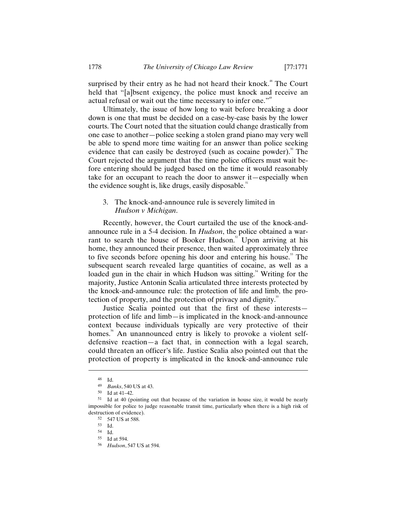surprised by their entry as he had not heard their knock.<sup>48</sup> The Court held that "[a]bsent exigency, the police must knock and receive an actual refusal or wait out the time necessary to infer one."<sup>49</sup>

Ultimately, the issue of how long to wait before breaking a door down is one that must be decided on a case-by-case basis by the lower courts. The Court noted that the situation could change drastically from one case to another—police seeking a stolen grand piano may very well be able to spend more time waiting for an answer than police seeking evidence that can easily be destroyed (such as cocaine powder).<sup>50</sup> The Court rejected the argument that the time police officers must wait before entering should be judged based on the time it would reasonably take for an occupant to reach the door to answer it—especially when the evidence sought is, like drugs, easily disposable.<sup>51</sup>

# 3. The knock-and-announce rule is severely limited in *Hudson v Michigan*.

Recently, however, the Court curtailed the use of the knock-andannounce rule in a 5-4 decision. In *Hudson*, the police obtained a warrant to search the house of Booker Hudson.<sup>52</sup> Upon arriving at his home, they announced their presence, then waited approximately three to five seconds before opening his door and entering his house.<sup>53</sup> The subsequent search revealed large quantities of cocaine, as well as a loaded gun in the chair in which Hudson was sitting.<sup>54</sup> Writing for the majority, Justice Antonin Scalia articulated three interests protected by the knock-and-announce rule: the protection of life and limb, the protection of property, and the protection of privacy and dignity.<sup>55</sup>

Justice Scalia pointed out that the first of these interests protection of life and limb—is implicated in the knock-and-announce context because individuals typically are very protective of their homes.<sup>56</sup> An unannounced entry is likely to provoke a violent selfdefensive reaction—a fact that, in connection with a legal search, could threaten an officer's life. Justice Scalia also pointed out that the protection of property is implicated in the knock-and-announce rule

 $\overline{a}$ 

53 Id.

<sup>48</sup> Id.

<sup>49</sup> *Banks*, 540 US at 43.

<sup>50</sup> Id at 41–42.

<sup>51</sup> Id at 40 (pointing out that because of the variation in house size, it would be nearly impossible for police to judge reasonable transit time, particularly when there is a high risk of destruction of evidence).

<sup>52 547</sup> US at 588.

<sup>54</sup> Id.

<sup>55</sup> Id at 594.

<sup>56</sup> *Hudson*, 547 US at 594.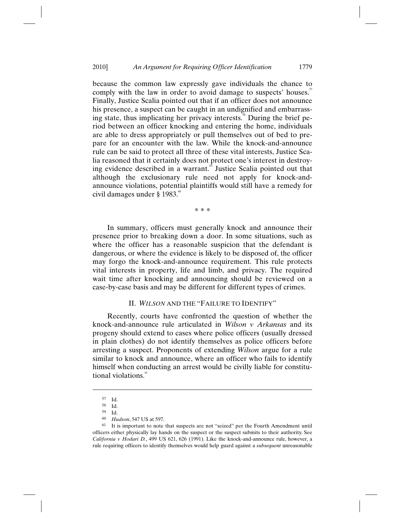because the common law expressly gave individuals the chance to comply with the law in order to avoid damage to suspects' houses.<sup>57</sup> Finally, Justice Scalia pointed out that if an officer does not announce his presence, a suspect can be caught in an undignified and embarrassing state, thus implicating her privacy interests. 58 During the brief period between an officer knocking and entering the home, individuals are able to dress appropriately or pull themselves out of bed to prepare for an encounter with the law. While the knock-and-announce rule can be said to protect all three of these vital interests, Justice Scalia reasoned that it certainly does not protect one's interest in destroying evidence described in a warrant.<sup>59</sup> Justice Scalia pointed out that although the exclusionary rule need not apply for knock-andannounce violations, potential plaintiffs would still have a remedy for civil damages under § 1983. 60

\* \* \*

In summary, officers must generally knock and announce their presence prior to breaking down a door. In some situations, such as where the officer has a reasonable suspicion that the defendant is dangerous, or where the evidence is likely to be disposed of, the officer may forgo the knock-and-announce requirement. This rule protects vital interests in property, life and limb, and privacy. The required wait time after knocking and announcing should be reviewed on a case-by-case basis and may be different for different types of crimes.

## II. *WILSON* AND THE "FAILURE TO IDENTIFY"

Recently, courts have confronted the question of whether the knock-and-announce rule articulated in *Wilson v Arkansas* and its progeny should extend to cases where police officers (usually dressed in plain clothes) do not identify themselves as police officers before arresting a suspect. Proponents of extending *Wilson* argue for a rule similar to knock and announce, where an officer who fails to identify himself when conducting an arrest would be civilly liable for constitutional violations.<sup>61</sup>

<sup>57</sup> Id.

<sup>58</sup> Id.

<sup>59</sup> Id.

<sup>60</sup> *Hudson*, 547 US at 597.

<sup>61</sup> It is important to note that suspects are not "seized" per the Fourth Amendment until officers either physically lay hands on the suspect or the suspect submits to their authority. See *California v Hodari D.*, 499 US 621, 626 (1991). Like the knock-and-announce rule, however, a rule requiring officers to identify themselves would help guard against a *subsequent* unreasonable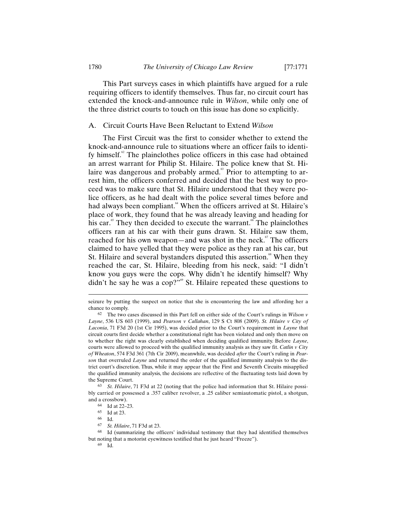This Part surveys cases in which plaintiffs have argued for a rule requiring officers to identify themselves. Thus far, no circuit court has extended the knock-and-announce rule in *Wilson*, while only one of the three district courts to touch on this issue has done so explicitly.

## A. Circuit Courts Have Been Reluctant to Extend *Wilson*

The First Circuit was the first to consider whether to extend the knock-and-announce rule to situations where an officer fails to identify himself.<sup>2</sup> The plainclothes police officers in this case had obtained an arrest warrant for Philip St. Hilaire. The police knew that St. Hilaire was dangerous and probably armed.<sup>63</sup> Prior to attempting to arrest him, the officers conferred and decided that the best way to proceed was to make sure that St. Hilaire understood that they were police officers, as he had dealt with the police several times before and had always been compliant.<sup>64</sup> When the officers arrived at St. Hilaire's place of work, they found that he was already leaving and heading for his car.<sup>65</sup> They then decided to execute the warrant.<sup>66</sup> The plainclothes officers ran at his car with their guns drawn. St. Hilaire saw them, reached for his own weapon—and was shot in the neck.<sup>67</sup> The officers claimed to have yelled that they were police as they ran at his car, but St. Hilaire and several bystanders disputed this assertion.<sup>68</sup> When they reached the car, St. Hilaire, bleeding from his neck, said: "I didn't know you guys were the cops. Why didn't he identify himself? Why didn't he say he was a  $\text{cop?}^{\prime\prime\prime\prime}$  St. Hilaire repeated these questions to

seizure by putting the suspect on notice that she is encountering the law and affording her a chance to comply.

<sup>62</sup> The two cases discussed in this Part fell on either side of the Court's rulings in *Wilson v Layne*, 536 US 603 (1999), and *Pearson v Callahan*, 129 S Ct 808 (2009). *St. Hilaire v City of Laconia*, 71 F3d 20 (1st Cir 1995), was decided prior to the Court's requirement in *Layne* that circuit courts first decide whether a constitutional right has been violated and only then move on to whether the right was clearly established when deciding qualified immunity. Before *Layne*, courts were allowed to proceed with the qualified immunity analysis as they saw fit. *Catlin v City of Wheaton*, 574 F3d 361 (7th Cir 2009), meanwhile, was decided *after* the Court's ruling in *Pearson* that overruled *Layne* and returned the order of the qualified immunity analysis to the district court's discretion. Thus, while it may appear that the First and Seventh Circuits misapplied the qualified immunity analysis, the decisions are reflective of the fluctuating tests laid down by the Supreme Court.

<sup>63</sup> *St. Hilaire*, 71 F3d at 22 (noting that the police had information that St. Hilaire possibly carried or possessed a .357 caliber revolver, a .25 caliber semiautomatic pistol, a shotgun, and a crossbow).

<sup>64</sup> Id at 22–23.

<sup>65</sup> Id at 23.

 $\begin{matrix} 66 & \text{Id.} \\ 67 & \text{St.} \end{matrix}$ 

<sup>67</sup> *St. Hilaire*, 71 F3d at 23.

<sup>68</sup> Id (summarizing the officers' individual testimony that they had identified themselves but noting that a motorist eyewitness testified that he just heard "Freeze").

<sup>69</sup> Id.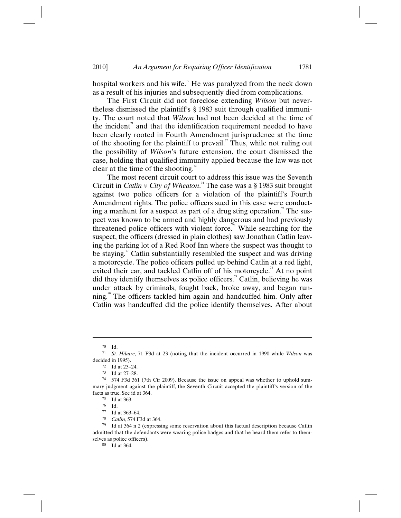hospital workers and his wife.<sup> $\degree$ </sup> He was paralyzed from the neck down as a result of his injuries and subsequently died from complications.

The First Circuit did not foreclose extending *Wilson* but nevertheless dismissed the plaintiff's § 1983 suit through qualified immunity. The court noted that *Wilson* had not been decided at the time of the incident<sup> $n$ </sup> and that the identification requirement needed to have been clearly rooted in Fourth Amendment jurisprudence at the time of the shooting for the plaintiff to prevail.<sup> $n$ </sup> Thus, while not ruling out the possibility of *Wilson*'s future extension, the court dismissed the case, holding that qualified immunity applied because the law was not clear at the time of the shooting.<sup>73</sup>

The most recent circuit court to address this issue was the Seventh Circuit in *Catlin v City of Wheaton*. 74 The case was a § 1983 suit brought against two police officers for a violation of the plaintiff's Fourth Amendment rights. The police officers sued in this case were conducting a manhunt for a suspect as part of a drug sting operation.<sup>3</sup> The suspect was known to be armed and highly dangerous and had previously threatened police officers with violent force.<sup> $\kappa$ </sup> While searching for the suspect, the officers (dressed in plain clothes) saw Jonathan Catlin leaving the parking lot of a Red Roof Inn where the suspect was thought to be staying.<sup>"</sup> Catlin substantially resembled the suspect and was driving a motorcycle. The police officers pulled up behind Catlin at a red light, exited their car, and tackled Catlin off of his motorcycle.<sup>78</sup> At no point did they identify themselves as police officers.<sup>79</sup> Catlin, believing he was under attack by criminals, fought back, broke away, and began running. 80 The officers tackled him again and handcuffed him. Only after Catlin was handcuffed did the police identify themselves. After about

<sup>70</sup> Id.

<sup>71</sup> *St. Hilaire*, 71 F3d at 23 (noting that the incident occurred in 1990 while *Wilson* was decided in 1995).

 $^{72}$  Id at 23–24.<br> $^{73}$  Id at 27–28

Id at 27–28.

<sup>74 574</sup> F3d 361 (7th Cir 2009). Because the issue on appeal was whether to uphold summary judgment against the plaintiff, the Seventh Circuit accepted the plaintiff's version of the facts as true. See id at 364.

<sup>75</sup> Id at 363.

 $\frac{76}{77}$  Id.

Id at 363–64.

<sup>78</sup> *Catlin*, 574 F3d at 364.

<sup>79</sup> Id at 364 n 2 (expressing some reservation about this factual description because Catlin admitted that the defendants were wearing police badges and that he heard them refer to themselves as police officers).

<sup>80</sup> Id at 364.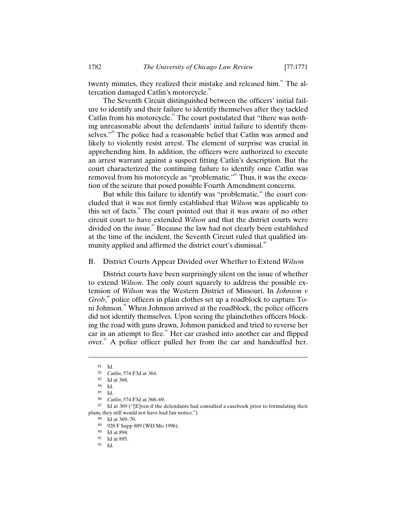twenty minutes, they realized their mistake and released him.<sup>81</sup> The altercation damaged Catlin's motorcycle.<sup>82</sup>

The Seventh Circuit distinguished between the officers' initial failure to identify and their failure to identify themselves after they tackled Catlin from his motorcycle.<sup>83</sup> The court postulated that "there was nothing unreasonable about the defendants' initial failure to identify themselves."<sup>44</sup> The police had a reasonable belief that Catlin was armed and likely to violently resist arrest. The element of surprise was crucial in apprehending him. In addition, the officers were authorized to execute an arrest warrant against a suspect fitting Catlin's description. But the court characterized the continuing failure to identify once Catlin was removed from his motorcycle as "problematic."<sup>85</sup> Thus, it was the execution of the seizure that posed possible Fourth Amendment concerns.

But while this failure to identify was "problematic," the court concluded that it was not firmly established that *Wilson* was applicable to this set of facts.<sup>86</sup> The court pointed out that it was aware of no other circuit court to have extended *Wilson* and that the district courts were divided on the issue.<sup>87</sup> Because the law had not clearly been established at the time of the incident, the Seventh Circuit ruled that qualified immunity applied and affirmed the district court's dismissal.<sup>88</sup>

B. District Courts Appear Divided over Whether to Extend *Wilson*

District courts have been surprisingly silent on the issue of whether to extend *Wilson*. The only court squarely to address the possible extension of *Wilson* was the Western District of Missouri. In *Johnson v*  Grob,<sup>®</sup> police officers in plain clothes set up a roadblock to capture Toni Johnson.<sup>®</sup> When Johnson arrived at the roadblock, the police officers did not identify themselves. Upon seeing the plainclothes officers blocking the road with guns drawn, Johnson panicked and tried to reverse her car in an attempt to flee.<sup>91</sup> Her car crashed into another car and flipped over. $\overset{2}{\sim}$  A police officer pulled her from the car and handcuffed her.

 $\overline{a}$ 

88 Id at 369–70.

89 928 F Supp 889 (WD Mo 1996).

<sup>81</sup> Id.

<sup>82</sup> *Catlin*, 574 F3d at 364.

<sup>83</sup> Id at 368.

<sup>84</sup> Id.

<sup>85</sup> Id.

<sup>86</sup> *Catlin*, 574 F3d at 368–69.

<sup>87</sup> Id at 369 ("[E]ven if the defendants had consulted a casebook prior to formulating their plans, they still would not have had fair notice.").

<sup>90</sup> Id at 894.

<sup>91</sup> Id at 895.

<sup>92</sup> Id.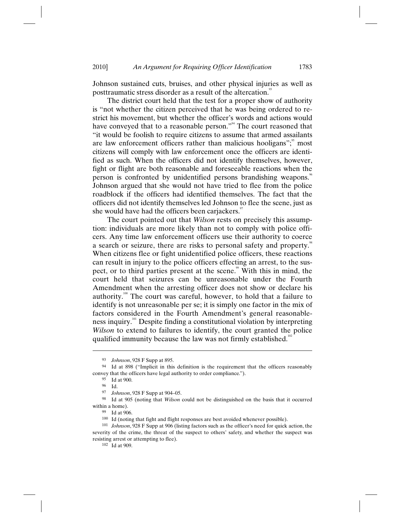Johnson sustained cuts, bruises, and other physical injuries as well as posttraumatic stress disorder as a result of the altercation.<sup>33</sup>

The district court held that the test for a proper show of authority is "not whether the citizen perceived that he was being ordered to restrict his movement, but whether the officer's words and actions would have conveyed that to a reasonable person."<sup>4</sup> The court reasoned that "it would be foolish to require citizens to assume that armed assailants are law enforcement officers rather than malicious hooligans"; $\degree$  most citizens will comply with law enforcement once the officers are identified as such. When the officers did not identify themselves, however, fight or flight are both reasonable and foreseeable reactions when the person is confronted by unidentified persons brandishing weapons. Johnson argued that she would not have tried to flee from the police roadblock if the officers had identified themselves. The fact that the officers did not identify themselves led Johnson to flee the scene, just as she would have had the officers been carjackers."

The court pointed out that *Wilson* rests on precisely this assumption: individuals are more likely than not to comply with police officers. Any time law enforcement officers use their authority to coerce a search or seizure, there are risks to personal safety and property.<sup>8</sup> When citizens flee or fight unidentified police officers, these reactions can result in injury to the police officers effecting an arrest, to the suspect, or to third parties present at the scene.<sup>99</sup> With this in mind, the court held that seizures can be unreasonable under the Fourth Amendment when the arresting officer does not show or declare his authority.<sup>100</sup> The court was careful, however, to hold that a failure to identify is not unreasonable per se; it is simply one factor in the mix of factors considered in the Fourth Amendment's general reasonableness inquiry. 101 Despite finding a constitutional violation by interpreting *Wilson* to extend to failures to identify, the court granted the police qualified immunity because the law was not firmly established.<sup>102</sup>

<sup>93</sup> *Johnson*, 928 F Supp at 895.

<sup>94</sup> Id at 898 ("Implicit in this definition is the requirement that the officers reasonably convey that the officers have legal authority to order compliance.").

<sup>95</sup> Id at 900.

<sup>96</sup> Id.

<sup>97</sup> *Johnson*, 928 F Supp at 904–05.

<sup>98</sup> Id at 905 (noting that *Wilson* could not be distinguished on the basis that it occurred within a home).

<sup>99</sup> Id at 906.

<sup>100</sup> Id (noting that fight and flight responses are best avoided whenever possible).

<sup>101</sup> *Johnson*, 928 F Supp at 906 (listing factors such as the officer's need for quick action, the severity of the crime, the threat of the suspect to others' safety, and whether the suspect was resisting arrest or attempting to flee).

<sup>102</sup> Id at 909.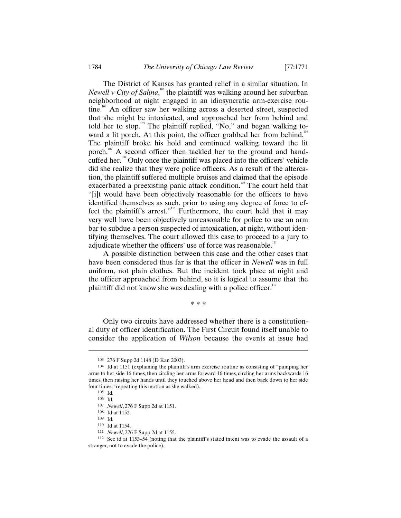The District of Kansas has granted relief in a similar situation. In *Newell v City of Salina*,<sup>103</sup> the plaintiff was walking around her suburban neighborhood at night engaged in an idiosyncratic arm-exercise routine.<sup>104</sup> An officer saw her walking across a deserted street, suspected that she might be intoxicated, and approached her from behind and told her to stop.<sup>106</sup> The plaintiff replied, "No," and began walking toward a lit porch. At this point, the officer grabbed her from behind.<sup>106</sup> The plaintiff broke his hold and continued walking toward the lit porch.<sup>107</sup> A second officer then tackled her to the ground and handcuffed her. 108 Only once the plaintiff was placed into the officers' vehicle did she realize that they were police officers. As a result of the altercation, the plaintiff suffered multiple bruises and claimed that the episode exacerbated a preexisting panic attack condition.<sup>109</sup> The court held that "[i]t would have been objectively reasonable for the officers to have identified themselves as such, prior to using any degree of force to effect the plaintiff's arrest."<sup>110</sup> Furthermore, the court held that it may very well have been objectively unreasonable for police to use an arm bar to subdue a person suspected of intoxication, at night, without identifying themselves. The court allowed this case to proceed to a jury to adjudicate whether the officers' use of force was reasonable.<sup>111</sup>

A possible distinction between this case and the other cases that have been considered thus far is that the officer in *Newell* was in full uniform, not plain clothes. But the incident took place at night and the officer approached from behind, so it is logical to assume that the plaintiff did not know she was dealing with a police officer.<sup>112</sup>

\* \* \*

Only two circuits have addressed whether there is a constitutional duty of officer identification. The First Circuit found itself unable to consider the application of *Wilson* because the events at issue had

<sup>103 276</sup> F Supp 2d 1148 (D Kan 2003).

<sup>104</sup> Id at 1151 (explaining the plaintiff's arm exercise routine as consisting of "pumping her arms to her side 16 times, then circling her arms forward 16 times, circling her arms backwards 16 times, then raising her hands until they touched above her head and then back down to her side four times," repeating this motion as she walked).

<sup>105</sup> Id.

<sup>106</sup> Id.

<sup>107</sup> *Newell*, 276 F Supp 2d at 1151.

<sup>108</sup> Id at 1152.

<sup>109</sup> Id. 110 Id at 1154.

<sup>111</sup> *Newell*, 276 F Supp 2d at 1155.

<sup>112</sup> See id at 1153–54 (noting that the plaintiff's stated intent was to evade the assault of a stranger, not to evade the police).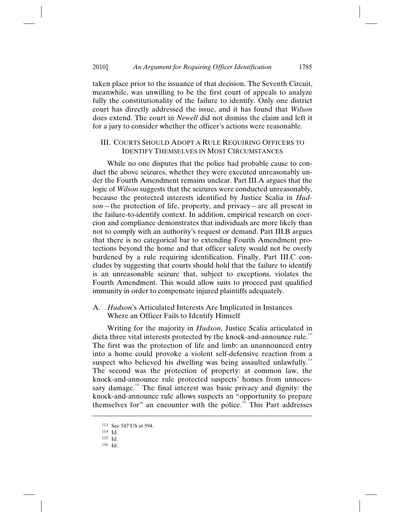taken place prior to the issuance of that decision. The Seventh Circuit, meanwhile, was unwilling to be the first court of appeals to analyze fully the constitutionality of the failure to identify. Only one district court has directly addressed the issue, and it has found that *Wilson* does extend. The court in *Newell* did not dismiss the claim and left it for a jury to consider whether the officer's actions were reasonable.

# III. COURTS SHOULD ADOPT A RULE REQUIRING OFFICERS TO IDENTIFY THEMSELVES IN MOST CIRCUMSTANCES

While no one disputes that the police had probable cause to conduct the above seizures, whether they were executed unreasonably under the Fourth Amendment remains unclear. Part III.A argues that the logic of *Wilson* suggests that the seizures were conducted unreasonably, because the protected interests identified by Justice Scalia in *Hudson*—the protection of life, property, and privacy—are all present in the failure-to-identify context. In addition, empirical research on coercion and compliance demonstrates that individuals are more likely than not to comply with an authority's request or demand. Part III.B argues that there is no categorical bar to extending Fourth Amendment protections beyond the home and that officer safety would not be overly burdened by a rule requiring identification. Finally, Part III.C concludes by suggesting that courts should hold that the failure to identify is an unreasonable seizure that, subject to exceptions, violates the Fourth Amendment. This would allow suits to proceed past qualified immunity in order to compensate injured plaintiffs adequately.

# A. *Hudson*'s Articulated Interests Are Implicated in Instances Where an Officer Fails to Identify Himself

Writing for the majority in *Hudson*, Justice Scalia articulated in dicta three vital interests protected by the knock-and-announce rule.<sup>113</sup> The first was the protection of life and limb: an unannounced entry into a home could provoke a violent self-defensive reaction from a suspect who believed his dwelling was being assaulted unlawfully.<sup>114</sup> The second was the protection of property: at common law, the knock-and-announce rule protected suspects' homes from unnecessary damage.<sup>115</sup> The final interest was basic privacy and dignity: the knock-and-announce rule allows suspects an "opportunity to prepare themselves for" an encounter with the police.<sup>116</sup> This Part addresses

<sup>113</sup> See 547 US at 594. 114 Id.

<sup>115</sup> Id.

<sup>116</sup> Id.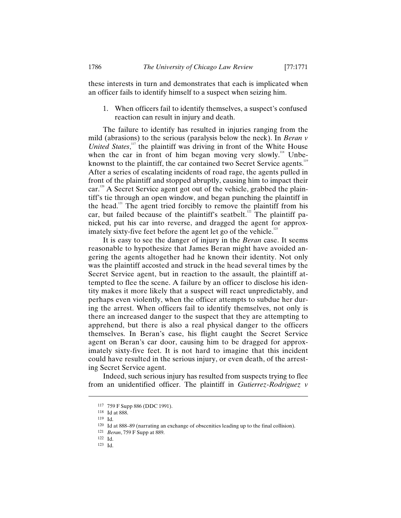these interests in turn and demonstrates that each is implicated when an officer fails to identify himself to a suspect when seizing him.

1. When officers fail to identify themselves, a suspect's confused reaction can result in injury and death.

The failure to identify has resulted in injuries ranging from the mild (abrasions) to the serious (paralysis below the neck). In *Beran v United States*,<sup>117</sup> the plaintiff was driving in front of the White House when the car in front of him began moving very slowly.<sup>118</sup> Unbeknownst to the plaintiff, the car contained two Secret Service agents.<sup>119</sup> After a series of escalating incidents of road rage, the agents pulled in front of the plaintiff and stopped abruptly, causing him to impact their car.<sup>120</sup> A Secret Service agent got out of the vehicle, grabbed the plaintiff's tie through an open window, and began punching the plaintiff in the head. $121$  The agent tried forcibly to remove the plaintiff from his car, but failed because of the plaintiff's seatbelt.<sup>122</sup> The plaintiff panicked, put his car into reverse, and dragged the agent for approximately sixty-five feet before the agent let go of the vehicle.<sup>123</sup>

It is easy to see the danger of injury in the *Beran* case. It seems reasonable to hypothesize that James Beran might have avoided angering the agents altogether had he known their identity. Not only was the plaintiff accosted and struck in the head several times by the Secret Service agent, but in reaction to the assault, the plaintiff attempted to flee the scene. A failure by an officer to disclose his identity makes it more likely that a suspect will react unpredictably, and perhaps even violently, when the officer attempts to subdue her during the arrest. When officers fail to identify themselves, not only is there an increased danger to the suspect that they are attempting to apprehend, but there is also a real physical danger to the officers themselves. In Beran's case, his flight caught the Secret Service agent on Beran's car door, causing him to be dragged for approximately sixty-five feet. It is not hard to imagine that this incident could have resulted in the serious injury, or even death, of the arresting Secret Service agent.

Indeed, such serious injury has resulted from suspects trying to flee from an unidentified officer. The plaintiff in *Gutierrez-Rodriguez v* 

<sup>117 759</sup> F Supp 886 (DDC 1991).

<sup>118</sup> Id at 888.

<sup>119</sup> Id.

<sup>120</sup> Id at 888–89 (narrating an exchange of obscenities leading up to the final collision).

<sup>121</sup> *Beran*, 759 F Supp at 889.

<sup>122</sup> Id.

<sup>123</sup> Id.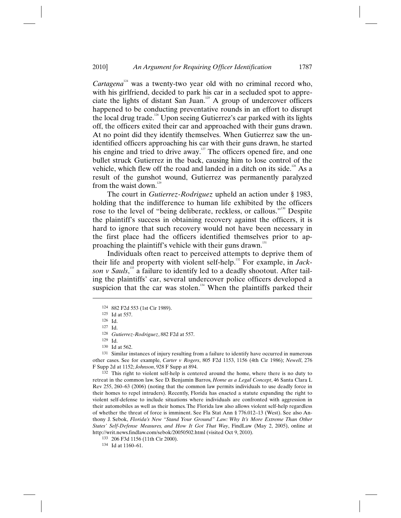*Cartagena*<sup>124</sup> was a twenty-two year old with no criminal record who, with his girlfriend, decided to park his car in a secluded spot to appreciate the lights of distant San Juan. $^{125}$  A group of undercover officers happened to be conducting preventative rounds in an effort to disrupt the local drug trade.<sup>126</sup> Upon seeing Gutierrez's car parked with its lights off, the officers exited their car and approached with their guns drawn. At no point did they identify themselves. When Gutierrez saw the unidentified officers approaching his car with their guns drawn, he started his engine and tried to drive away. $127$  The officers opened fire, and one bullet struck Gutierrez in the back, causing him to lose control of the vehicle, which flew off the road and landed in a ditch on its side.<sup>128</sup> As a result of the gunshot wound, Gutierrez was permanently paralyzed from the waist down.<sup>129</sup>

The court in *Gutierrez-Rodriguez* upheld an action under § 1983, holding that the indifference to human life exhibited by the officers rose to the level of "being deliberate, reckless, or callous."<sup>130</sup> Despite the plaintiff's success in obtaining recovery against the officers, it is hard to ignore that such recovery would not have been necessary in the first place had the officers identified themselves prior to approaching the plaintiff's vehicle with their guns drawn.<sup>131</sup>

Individuals often react to perceived attempts to deprive them of their life and property with violent self-help. 132 For example, in *Jack*son v Sauls,<sup>133</sup> a failure to identify led to a deadly shootout. After tailing the plaintiffs' car, several undercover police officers developed a suspicion that the car was stolen. $134}$  When the plaintiffs parked their

 $\overline{a}$ 

<sup>131</sup> Similar instances of injury resulting from a failure to identify have occurred in numerous other cases. See for example, *Carter v Rogers*, 805 F2d 1153, 1156 (4th Cir 1986); *Newell*, 276 F Supp 2d at 1152; *Johnson*, 928 F Supp at 894.

132 This right to violent self-help is centered around the home, where there is no duty to retreat in the common law. See D. Benjamin Barros, *Home as a Legal Concept*, 46 Santa Clara L Rev 255, 260–63 (2006) (noting that the common law permits individuals to use deadly force in their homes to repel intruders). Recently, Florida has enacted a statute expanding the right to violent self-defense to include situations where individuals are confronted with aggression in their automobiles as well as their homes. The Florida law also allows violent self-help regardless of whether the threat of force is imminent. See Fla Stat Ann § 776.012–13 (West). See also Anthony J. Sebok, *Florida's New "Stand Your Ground" Law: Why It's More Extreme Than Other States' Self-Defense Measures, and How It Got That Way*, FindLaw (May 2, 2005), online at http://writ.news.findlaw.com/sebok/20050502.html (visited Oct 9, 2010).

133 206 F3d 1156 (11th Cir 2000).

<sup>124 882</sup> F2d 553 (1st Cir 1989).

<sup>125</sup> Id at 557.

<sup>126</sup> Id. 127 Id.

<sup>128</sup> *Gutierrez-Rodriguez*, 882 F2d at 557.

 $129$  Id.<br> $130$  Id at 562.

<sup>134</sup> Id at 1160–61.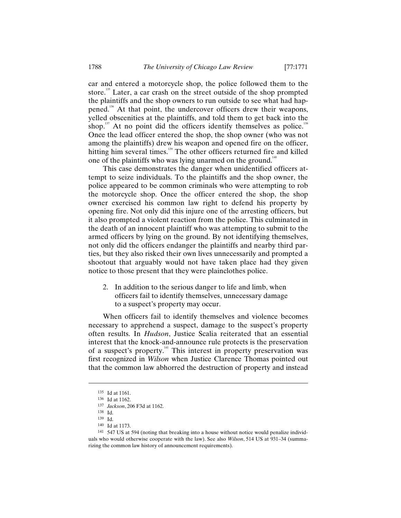car and entered a motorcycle shop, the police followed them to the store.<sup>135</sup> Later, a car crash on the street outside of the shop prompted the plaintiffs and the shop owners to run outside to see what had happened.<sup>136</sup> At that point, the undercover officers drew their weapons, yelled obscenities at the plaintiffs, and told them to get back into the shop.<sup>137</sup> At no point did the officers identify themselves as police.<sup>138</sup> Once the lead officer entered the shop, the shop owner (who was not among the plaintiffs) drew his weapon and opened fire on the officer, hitting him several times.<sup>139</sup> The other officers returned fire and killed one of the plaintiffs who was lying unarmed on the ground.<sup>140</sup>

This case demonstrates the danger when unidentified officers attempt to seize individuals. To the plaintiffs and the shop owner, the police appeared to be common criminals who were attempting to rob the motorcycle shop. Once the officer entered the shop, the shop owner exercised his common law right to defend his property by opening fire. Not only did this injure one of the arresting officers, but it also prompted a violent reaction from the police. This culminated in the death of an innocent plaintiff who was attempting to submit to the armed officers by lying on the ground. By not identifying themselves, not only did the officers endanger the plaintiffs and nearby third parties, but they also risked their own lives unnecessarily and prompted a shootout that arguably would not have taken place had they given notice to those present that they were plainclothes police.

2. In addition to the serious danger to life and limb, when officers fail to identify themselves, unnecessary damage to a suspect's property may occur.

When officers fail to identify themselves and violence becomes necessary to apprehend a suspect, damage to the suspect's property often results. In *Hudson*, Justice Scalia reiterated that an essential interest that the knock-and-announce rule protects is the preservation of a suspect's property.<sup>14</sup> This interest in property preservation was first recognized in *Wilson* when Justice Clarence Thomas pointed out that the common law abhorred the destruction of property and instead

<sup>135</sup> Id at 1161.

<sup>136</sup> Id at 1162.

<sup>137</sup> *Jackson*, 206 F3d at 1162.

<sup>138</sup> Id.

<sup>139</sup> Id.

<sup>140</sup> Id at 1173.

<sup>141 547</sup> US at 594 (noting that breaking into a house without notice would penalize individuals who would otherwise cooperate with the law). See also *Wilson*, 514 US at 931–34 (summarizing the common law history of announcement requirements).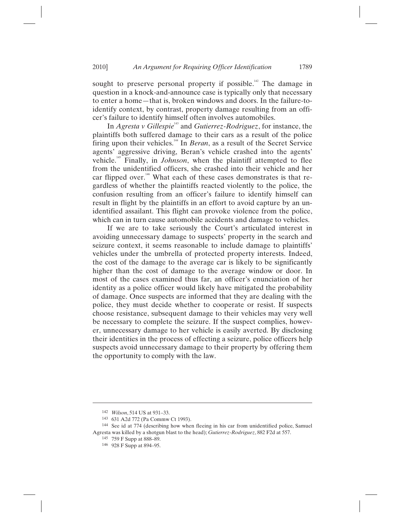sought to preserve personal property if possible.<sup>142</sup> The damage in question in a knock-and-announce case is typically only that necessary to enter a home—that is, broken windows and doors. In the failure-toidentify context, by contrast, property damage resulting from an officer's failure to identify himself often involves automobiles.

In *Agresta v Gillespie*<sup>143</sup> and *Gutierrez-Rodriguez*, for instance, the plaintiffs both suffered damage to their cars as a result of the police firing upon their vehicles.144 In *Beran*, as a result of the Secret Service agents' aggressive driving, Beran's vehicle crashed into the agents' vehicle.145 Finally, in *Johnson*, when the plaintiff attempted to flee from the unidentified officers, she crashed into their vehicle and her car flipped over.<sup>146</sup> What each of these cases demonstrates is that regardless of whether the plaintiffs reacted violently to the police, the confusion resulting from an officer's failure to identify himself can result in flight by the plaintiffs in an effort to avoid capture by an unidentified assailant. This flight can provoke violence from the police, which can in turn cause automobile accidents and damage to vehicles.

If we are to take seriously the Court's articulated interest in avoiding unnecessary damage to suspects' property in the search and seizure context, it seems reasonable to include damage to plaintiffs' vehicles under the umbrella of protected property interests. Indeed, the cost of the damage to the average car is likely to be significantly higher than the cost of damage to the average window or door. In most of the cases examined thus far, an officer's enunciation of her identity as a police officer would likely have mitigated the probability of damage. Once suspects are informed that they are dealing with the police, they must decide whether to cooperate or resist. If suspects choose resistance, subsequent damage to their vehicles may very well be necessary to complete the seizure. If the suspect complies, however, unnecessary damage to her vehicle is easily averted. By disclosing their identities in the process of effecting a seizure, police officers help suspects avoid unnecessary damage to their property by offering them the opportunity to comply with the law.

<sup>142</sup> *Wilson*, 514 US at 931–33.

<sup>143 631</sup> A2d 772 (Pa Commw Ct 1993).

<sup>144</sup> See id at 774 (describing how when fleeing in his car from unidentified police, Samuel Agresta was killed by a shotgun blast to the head); *Gutierrez-Rodriguez*, 882 F2d at 557.

<sup>145 759</sup> F Supp at 888–89.

<sup>146 928</sup> F Supp at 894–95.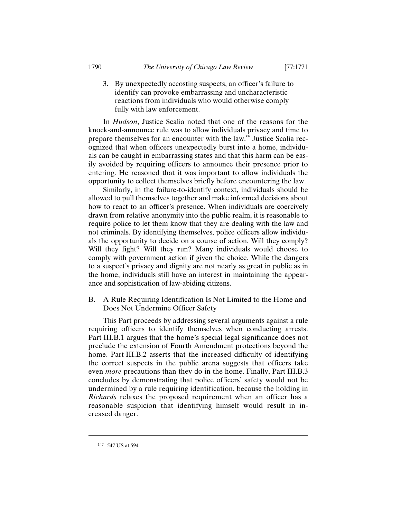3. By unexpectedly accosting suspects, an officer's failure to identify can provoke embarrassing and uncharacteristic reactions from individuals who would otherwise comply fully with law enforcement.

In *Hudson*, Justice Scalia noted that one of the reasons for the knock-and-announce rule was to allow individuals privacy and time to prepare themselves for an encounter with the law.<sup>147</sup> Justice Scalia recognized that when officers unexpectedly burst into a home, individuals can be caught in embarrassing states and that this harm can be easily avoided by requiring officers to announce their presence prior to entering. He reasoned that it was important to allow individuals the opportunity to collect themselves briefly before encountering the law.

Similarly, in the failure-to-identify context, individuals should be allowed to pull themselves together and make informed decisions about how to react to an officer's presence. When individuals are coercively drawn from relative anonymity into the public realm, it is reasonable to require police to let them know that they are dealing with the law and not criminals. By identifying themselves, police officers allow individuals the opportunity to decide on a course of action. Will they comply? Will they fight? Will they run? Many individuals would choose to comply with government action if given the choice. While the dangers to a suspect's privacy and dignity are not nearly as great in public as in the home, individuals still have an interest in maintaining the appearance and sophistication of law-abiding citizens.

B. A Rule Requiring Identification Is Not Limited to the Home and Does Not Undermine Officer Safety

This Part proceeds by addressing several arguments against a rule requiring officers to identify themselves when conducting arrests. Part III.B.1 argues that the home's special legal significance does not preclude the extension of Fourth Amendment protections beyond the home. Part III.B.2 asserts that the increased difficulty of identifying the correct suspects in the public arena suggests that officers take even *more* precautions than they do in the home. Finally, Part III.B.3 concludes by demonstrating that police officers' safety would not be undermined by a rule requiring identification, because the holding in *Richards* relaxes the proposed requirement when an officer has a reasonable suspicion that identifying himself would result in increased danger.

<sup>147 547</sup> US at 594.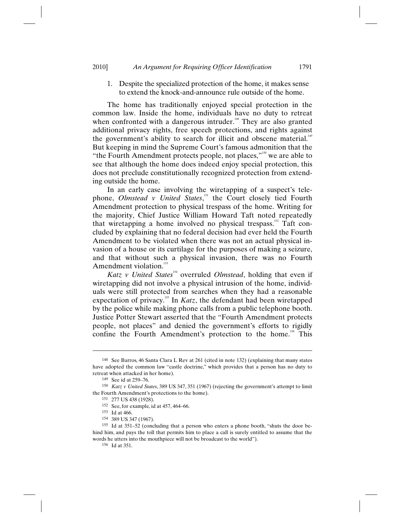1. Despite the specialized protection of the home, it makes sense to extend the knock-and-announce rule outside of the home.

The home has traditionally enjoyed special protection in the common law. Inside the home, individuals have no duty to retreat when confronted with a dangerous intruder.<sup>148</sup> They are also granted additional privacy rights, free speech protections, and rights against the government's ability to search for illicit and obscene material.<sup>149</sup> But keeping in mind the Supreme Court's famous admonition that the "the Fourth Amendment protects people, not places," $150$  we are able to see that although the home does indeed enjoy special protection, this does not preclude constitutionally recognized protection from extending outside the home.

In an early case involving the wiretapping of a suspect's telephone, *Olmstead v United States*,<sup>551</sup> the Court closely tied Fourth Amendment protection to physical trespass of the home. Writing for the majority, Chief Justice William Howard Taft noted repeatedly that wiretapping a home involved no physical trespass.<sup>152</sup> Taft concluded by explaining that no federal decision had ever held the Fourth Amendment to be violated when there was not an actual physical invasion of a house or its curtilage for the purposes of making a seizure, and that without such a physical invasion, there was no Fourth Amendment violation.<sup>153</sup>

*Katz v United States*<sup>154</sup> overruled *Olmstead*, holding that even if wiretapping did not involve a physical intrusion of the home, individuals were still protected from searches when they had a reasonable expectation of privacy.<sup>155</sup> In *Katz*, the defendant had been wiretapped by the police while making phone calls from a public telephone booth. Justice Potter Stewart asserted that the "Fourth Amendment protects people, not places" and denied the government's efforts to rigidly confine the Fourth Amendment's protection to the home.<sup>156</sup> This

<sup>148</sup> See Barros, 46 Santa Clara L Rev at 261 (cited in note 132) (explaining that many states have adopted the common law "castle doctrine," which provides that a person has no duty to retreat when attacked in her home).

<sup>149</sup> See id at 259–76.

<sup>150</sup> *Katz v United States*, 389 US 347, 351 (1967) (rejecting the government's attempt to limit the Fourth Amendment's protections to the home).

<sup>151 277</sup> US 438 (1928).

<sup>152</sup> See, for example, id at 457, 464–66.

<sup>153</sup> Id at 466.

<sup>154 389</sup> US 347 (1967).

<sup>155</sup> Id at 351–52 (concluding that a person who enters a phone booth, "shuts the door behind him, and pays the toll that permits him to place a call is surely entitled to assume that the words he utters into the mouthpiece will not be broadcast to the world").

<sup>156</sup> Id at 351.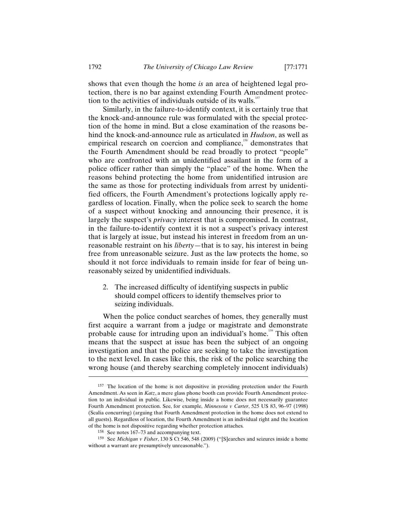shows that even though the home *is* an area of heightened legal protection, there is no bar against extending Fourth Amendment protection to the activities of individuals outside of its walls.<sup>157</sup>

Similarly, in the failure-to-identify context, it is certainly true that the knock-and-announce rule was formulated with the special protection of the home in mind. But a close examination of the reasons behind the knock-and-announce rule as articulated in *Hudson*, as well as empirical research on coercion and compliance,<sup>158</sup> demonstrates that the Fourth Amendment should be read broadly to protect "people" who are confronted with an unidentified assailant in the form of a police officer rather than simply the "place" of the home. When the reasons behind protecting the home from unidentified intrusion are the same as those for protecting individuals from arrest by unidentified officers, the Fourth Amendment's protections logically apply regardless of location. Finally, when the police seek to search the home of a suspect without knocking and announcing their presence, it is largely the suspect's *privacy* interest that is compromised. In contrast, in the failure-to-identify context it is not a suspect's privacy interest that is largely at issue, but instead his interest in freedom from an unreasonable restraint on his *liberty*—that is to say, his interest in being free from unreasonable seizure. Just as the law protects the home, so should it not force individuals to remain inside for fear of being unreasonably seized by unidentified individuals.

2. The increased difficulty of identifying suspects in public should compel officers to identify themselves prior to seizing individuals.

When the police conduct searches of homes, they generally must first acquire a warrant from a judge or magistrate and demonstrate probable cause for intruding upon an individual's home.<sup>159</sup> This often means that the suspect at issue has been the subject of an ongoing investigation and that the police are seeking to take the investigation to the next level. In cases like this, the risk of the police searching the wrong house (and thereby searching completely innocent individuals)

<sup>157</sup> The location of the home is not dispositive in providing protection under the Fourth Amendment. As seen in *Katz*, a mere glass phone booth can provide Fourth Amendment protection to an individual in public. Likewise, being inside a home does not necessarily guarantee Fourth Amendment protection. See, for example, *Minnesota v Carter*, 525 US 83, 96–97 (1998) (Scalia concurring) (arguing that Fourth Amendment protection in the home does not extend to all guests). Regardless of location, the Fourth Amendment is an individual right and the location of the home is not dispositive regarding whether protection attaches.

<sup>158</sup> See notes 167–73 and accompanying text.

<sup>159</sup> See *Michigan v Fisher*, 130 S Ct 546, 548 (2009) ("[S]earches and seizures inside a home without a warrant are presumptively unreasonable.").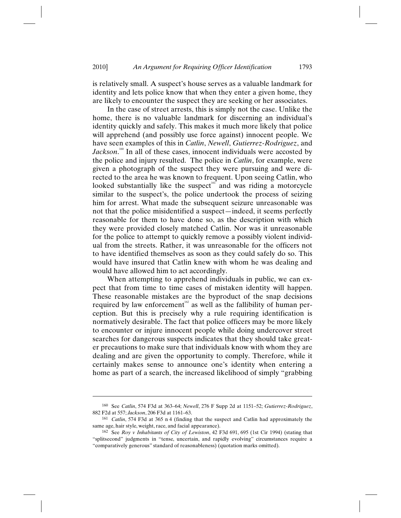is relatively small. A suspect's house serves as a valuable landmark for identity and lets police know that when they enter a given home, they are likely to encounter the suspect they are seeking or her associates.

In the case of street arrests, this is simply not the case. Unlike the home, there is no valuable landmark for discerning an individual's identity quickly and safely. This makes it much more likely that police will apprehend (and possibly use force against) innocent people. We have seen examples of this in *Catlin*, *Newell*, *Gutierrez-Rodriguez*, and Jackson.<sup>160</sup> In all of these cases, innocent individuals were accosted by the police and injury resulted. The police in *Catlin*, for example, were given a photograph of the suspect they were pursuing and were directed to the area he was known to frequent. Upon seeing Catlin, who looked substantially like the suspect<sup>161</sup> and was riding a motorcycle similar to the suspect's, the police undertook the process of seizing him for arrest. What made the subsequent seizure unreasonable was not that the police misidentified a suspect—indeed, it seems perfectly reasonable for them to have done so, as the description with which they were provided closely matched Catlin. Nor was it unreasonable for the police to attempt to quickly remove a possibly violent individual from the streets. Rather, it was unreasonable for the officers not to have identified themselves as soon as they could safely do so. This would have insured that Catlin knew with whom he was dealing and would have allowed him to act accordingly.

When attempting to apprehend individuals in public, we can expect that from time to time cases of mistaken identity will happen. These reasonable mistakes are the byproduct of the snap decisions required by law enforcement<sup> $162$ </sup> as well as the fallibility of human perception. But this is precisely why a rule requiring identification is normatively desirable. The fact that police officers may be more likely to encounter or injure innocent people while doing undercover street searches for dangerous suspects indicates that they should take greater precautions to make sure that individuals know with whom they are dealing and are given the opportunity to comply. Therefore, while it certainly makes sense to announce one's identity when entering a home as part of a search, the increased likelihood of simply "grabbing

<sup>160</sup> See *Catlin*, 574 F3d at 363–64; *Newell*, 276 F Supp 2d at 1151–52; *Gutierrez-Rodriguez*, 882 F2d at 557; *Jackson*, 206 F3d at 1161–63.

<sup>161</sup> *Catlin*, 574 F3d at 365 n 4 (finding that the suspect and Catlin had approximately the same age, hair style, weight, race, and facial appearance).

<sup>162</sup> See *Roy v Inhabitants of City of Lewiston*, 42 F3d 691, 695 (1st Cir 1994) (stating that "splitsecond" judgments in "tense, uncertain, and rapidly evolving" circumstances require a "comparatively generous" standard of reasonableness) (quotation marks omitted).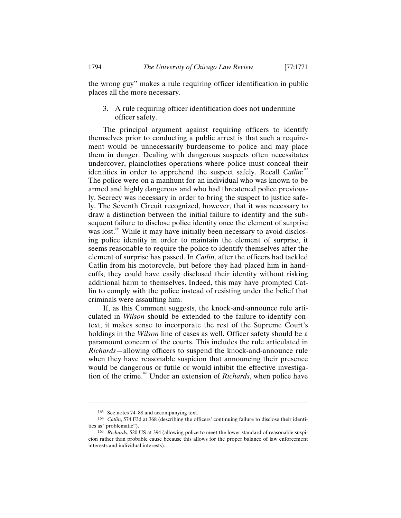the wrong guy" makes a rule requiring officer identification in public places all the more necessary.

3. A rule requiring officer identification does not undermine officer safety.

The principal argument against requiring officers to identify themselves prior to conducting a public arrest is that such a requirement would be unnecessarily burdensome to police and may place them in danger. Dealing with dangerous suspects often necessitates undercover, plainclothes operations where police must conceal their identities in order to apprehend the suspect safely. Recall *Catlin*:<sup>163</sup> The police were on a manhunt for an individual who was known to be armed and highly dangerous and who had threatened police previously. Secrecy was necessary in order to bring the suspect to justice safely. The Seventh Circuit recognized, however, that it was necessary to draw a distinction between the initial failure to identify and the subsequent failure to disclose police identity once the element of surprise was lost.<sup>164</sup> While it may have initially been necessary to avoid disclosing police identity in order to maintain the element of surprise, it seems reasonable to require the police to identify themselves after the element of surprise has passed. In *Catlin*, after the officers had tackled Catlin from his motorcycle, but before they had placed him in handcuffs, they could have easily disclosed their identity without risking additional harm to themselves. Indeed, this may have prompted Catlin to comply with the police instead of resisting under the belief that criminals were assaulting him.

If, as this Comment suggests, the knock-and-announce rule articulated in *Wilson* should be extended to the failure-to-identify context, it makes sense to incorporate the rest of the Supreme Court's holdings in the *Wilson* line of cases as well. Officer safety should be a paramount concern of the courts. This includes the rule articulated in *Richards*—allowing officers to suspend the knock-and-announce rule when they have reasonable suspicion that announcing their presence would be dangerous or futile or would inhibit the effective investigation of the crime. 165 Under an extension of *Richards*, when police have

<sup>163</sup> See notes 74–88 and accompanying text.

<sup>164</sup> *Catlin*, 574 F3d at 368 (describing the officers' continuing failure to disclose their identities as "problematic").

<sup>165</sup> *Richards*, 520 US at 394 (allowing police to meet the lower standard of reasonable suspicion rather than probable cause because this allows for the proper balance of law enforcement interests and individual interests).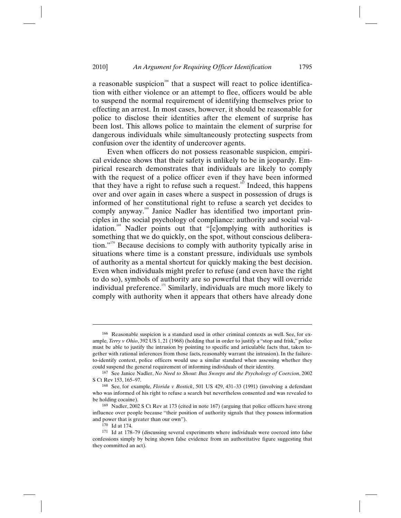a reasonable suspicion<sup>166</sup> that a suspect will react to police identification with either violence or an attempt to flee, officers would be able to suspend the normal requirement of identifying themselves prior to effecting an arrest. In most cases, however, it should be reasonable for police to disclose their identities after the element of surprise has been lost. This allows police to maintain the element of surprise for dangerous individuals while simultaneously protecting suspects from confusion over the identity of undercover agents.

Even when officers do not possess reasonable suspicion, empirical evidence shows that their safety is unlikely to be in jeopardy. Empirical research demonstrates that individuals are likely to comply with the request of a police officer even if they have been informed that they have a right to refuse such a request.<sup>167</sup> Indeed, this happens over and over again in cases where a suspect in possession of drugs is informed of her constitutional right to refuse a search yet decides to comply anyway.<sup>168</sup> Janice Nadler has identified two important principles in the social psychology of compliance: authority and social validation.<sup>169</sup> Nadler points out that "[c]omplying with authorities is something that we do quickly, on the spot, without conscious deliberation."<sup>170</sup> Because decisions to comply with authority typically arise in situations where time is a constant pressure, individuals use symbols of authority as a mental shortcut for quickly making the best decision. Even when individuals might prefer to refuse (and even have the right to do so), symbols of authority are so powerful that they will override individual preference.<sup>171</sup> Similarly, individuals are much more likely to comply with authority when it appears that others have already done

<sup>166</sup> Reasonable suspicion is a standard used in other criminal contexts as well. See, for example, *Terry v Ohio*, 392 US 1, 21 (1968) (holding that in order to justify a "stop and frisk," police must be able to justify the intrusion by pointing to specific and articulable facts that, taken together with rational inferences from those facts, reasonably warrant the intrusion). In the failureto-identify context, police officers would use a similar standard when assessing whether they could suspend the general requirement of informing individuals of their identity.

<sup>167</sup> See Janice Nadler, *No Need to Shout: Bus Sweeps and the Psychology of Coercion*, 2002 S Ct Rev 153, 165–97.

<sup>168</sup> See, for example, *Florida v Bostick*, 501 US 429, 431–33 (1991) (involving a defendant who was informed of his right to refuse a search but nevertheless consented and was revealed to be holding cocaine).

<sup>169</sup> Nadler, 2002 S Ct Rev at 173 (cited in note 167) (arguing that police officers have strong influence over people because "their position of authority signals that they possess information and power that is greater than our own").

<sup>170</sup> Id at 174.

<sup>171</sup> Id at 178–79 (discussing several experiments where individuals were coerced into false confessions simply by being shown false evidence from an authoritative figure suggesting that they committed an act).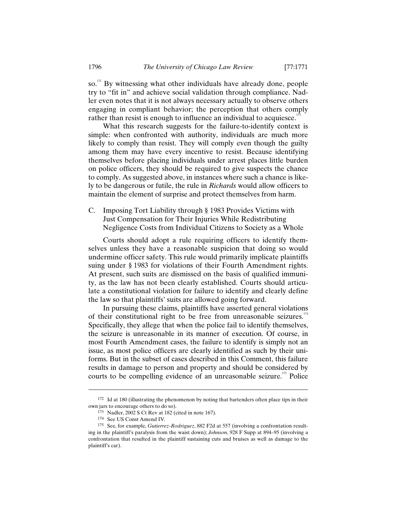so.<sup>172</sup> By witnessing what other individuals have already done, people try to "fit in" and achieve social validation through compliance. Nadler even notes that it is not always necessary actually to observe others engaging in compliant behavior; the perception that others comply rather than resist is enough to influence an individual to acquiesce.<sup>173</sup>

What this research suggests for the failure-to-identify context is simple: when confronted with authority, individuals are much more likely to comply than resist. They will comply even though the guilty among them may have every incentive to resist. Because identifying themselves before placing individuals under arrest places little burden on police officers, they should be required to give suspects the chance to comply. As suggested above, in instances where such a chance is likely to be dangerous or futile, the rule in *Richards* would allow officers to maintain the element of surprise and protect themselves from harm.

C. Imposing Tort Liability through § 1983 Provides Victims with Just Compensation for Their Injuries While Redistributing Negligence Costs from Individual Citizens to Society as a Whole

Courts should adopt a rule requiring officers to identify themselves unless they have a reasonable suspicion that doing so would undermine officer safety. This rule would primarily implicate plaintiffs suing under § 1983 for violations of their Fourth Amendment rights. At present, such suits are dismissed on the basis of qualified immunity, as the law has not been clearly established. Courts should articulate a constitutional violation for failure to identify and clearly define the law so that plaintiffs' suits are allowed going forward.

In pursuing these claims, plaintiffs have asserted general violations of their constitutional right to be free from unreasonable seizures.<sup>174</sup> Specifically, they allege that when the police fail to identify themselves, the seizure is unreasonable in its manner of execution. Of course, in most Fourth Amendment cases, the failure to identify is simply not an issue, as most police officers are clearly identified as such by their uniforms. But in the subset of cases described in this Comment, this failure results in damage to person and property and should be considered by courts to be compelling evidence of an unreasonable seizure. 175 Police

<sup>172</sup> Id at 180 (illustrating the phenomenon by noting that bartenders often place tips in their own jars to encourage others to do so).

<sup>173</sup> Nadler, 2002 S Ct Rev at 182 (cited in note 167).

<sup>174</sup> See US Const Amend IV.

<sup>175</sup> See, for example, *Gutierrez-Rodriguez*, 882 F2d at 557 (involving a confrontation resulting in the plaintiff's paralysis from the waist down); *Johnson*, 928 F Supp at 894–95 (involving a confrontation that resulted in the plaintiff sustaining cuts and bruises as well as damage to the plaintiff's car).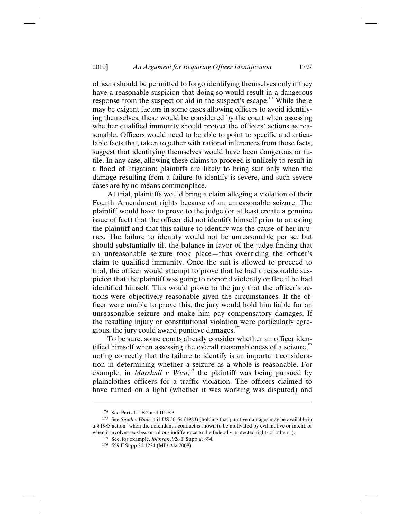officers should be permitted to forgo identifying themselves only if they have a reasonable suspicion that doing so would result in a dangerous response from the suspect or aid in the suspect's escape.<sup>176</sup> While there may be exigent factors in some cases allowing officers to avoid identifying themselves, these would be considered by the court when assessing whether qualified immunity should protect the officers' actions as reasonable. Officers would need to be able to point to specific and articulable facts that, taken together with rational inferences from those facts, suggest that identifying themselves would have been dangerous or futile. In any case, allowing these claims to proceed is unlikely to result in a flood of litigation: plaintiffs are likely to bring suit only when the damage resulting from a failure to identify is severe, and such severe cases are by no means commonplace.

At trial, plaintiffs would bring a claim alleging a violation of their Fourth Amendment rights because of an unreasonable seizure. The plaintiff would have to prove to the judge (or at least create a genuine issue of fact) that the officer did not identify himself prior to arresting the plaintiff and that this failure to identify was the cause of her injuries. The failure to identify would not be unreasonable per se, but should substantially tilt the balance in favor of the judge finding that an unreasonable seizure took place—thus overriding the officer's claim to qualified immunity. Once the suit is allowed to proceed to trial, the officer would attempt to prove that he had a reasonable suspicion that the plaintiff was going to respond violently or flee if he had identified himself. This would prove to the jury that the officer's actions were objectively reasonable given the circumstances. If the officer were unable to prove this, the jury would hold him liable for an unreasonable seizure and make him pay compensatory damages. If the resulting injury or constitutional violation were particularly egregious, the jury could award punitive damages. $177$ 

To be sure, some courts already consider whether an officer identified himself when assessing the overall reasonableness of a seizure, $\overline{1}$ noting correctly that the failure to identify is an important consideration in determining whether a seizure as a whole is reasonable. For example, in *Marshall*  $v$  West,<sup>179</sup> the plaintiff was being pursued by plainclothes officers for a traffic violation. The officers claimed to have turned on a light (whether it was working was disputed) and

<sup>176</sup> See Parts III.B.2 and III.B.3.

<sup>177</sup> See *Smith v Wade*, 461 US 30, 54 (1983) (holding that punitive damages may be available in a § 1983 action "when the defendant's conduct is shown to be motivated by evil motive or intent, or when it involves reckless or callous indifference to the federally protected rights of others").

<sup>178</sup> See, for example, *Johnson*, 928 F Supp at 894.

<sup>179 559</sup> F Supp 2d 1224 (MD Ala 2008).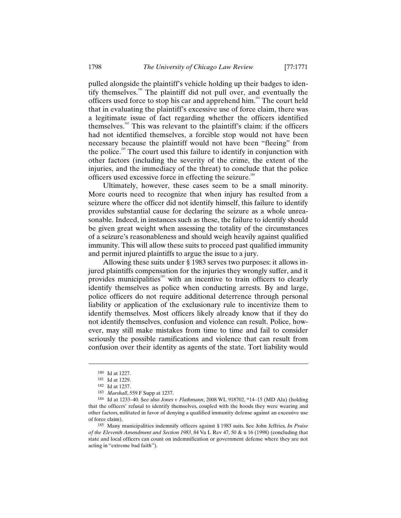pulled alongside the plaintiff's vehicle holding up their badges to identify themselves.<sup>180</sup> The plaintiff did not pull over, and eventually the officers used force to stop his car and apprehend him.<sup>181</sup> The court held that in evaluating the plaintiff's excessive use of force claim, there was a legitimate issue of fact regarding whether the officers identified themselves.<sup>182</sup> This was relevant to the plaintiff's claim: if the officers had not identified themselves, a forcible stop would not have been necessary because the plaintiff would not have been "fleeing" from the police.<sup>183</sup> The court used this failure to identify in conjunction with other factors (including the severity of the crime, the extent of the injuries, and the immediacy of the threat) to conclude that the police officers used excessive force in effecting the seizure.<sup>184</sup>

Ultimately, however, these cases seem to be a small minority. More courts need to recognize that when injury has resulted from a seizure where the officer did not identify himself, this failure to identify provides substantial cause for declaring the seizure as a whole unreasonable. Indeed, in instances such as these, the failure to identify should be given great weight when assessing the totality of the circumstances of a seizure's reasonableness and should weigh heavily against qualified immunity. This will allow these suits to proceed past qualified immunity and permit injured plaintiffs to argue the issue to a jury.

Allowing these suits under § 1983 serves two purposes: it allows injured plaintiffs compensation for the injuries they wrongly suffer, and it provides municipalities<sup>185</sup> with an incentive to train officers to clearly identify themselves as police when conducting arrests. By and large, police officers do not require additional deterrence through personal liability or application of the exclusionary rule to incentivize them to identify themselves. Most officers likely already know that if they do not identify themselves, confusion and violence can result. Police, however, may still make mistakes from time to time and fail to consider seriously the possible ramifications and violence that can result from confusion over their identity as agents of the state. Tort liability would

<sup>180</sup> Id at 1227.

<sup>181</sup> Id at 1229.

<sup>182</sup> Id at 1237.

<sup>183</sup> *Marshall*, 559 F Supp at 1237.

<sup>184</sup> Id at 1233–40. See also *Jones v Flathmann*, 2008 WL 918702, \*14–15 (MD Ala) (holding that the officers' refusal to identify themselves, coupled with the hoods they were wearing and other factors, militated in favor of denying a qualified immunity defense against an excessive use of force claim).

<sup>185</sup> Many municipalities indemnify officers against § 1983 suits. See John Jeffries, *In Praise of the Eleventh Amendment and Section 1983*, 84 Va L Rev 47, 50 & n 16 (1998) (concluding that state and local officers can count on indemnification or government defense where they are not acting in "extreme bad faith").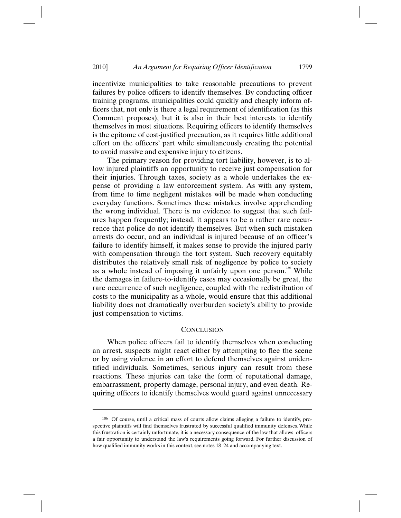incentivize municipalities to take reasonable precautions to prevent failures by police officers to identify themselves. By conducting officer training programs, municipalities could quickly and cheaply inform officers that, not only is there a legal requirement of identification (as this Comment proposes), but it is also in their best interests to identify themselves in most situations. Requiring officers to identify themselves is the epitome of cost-justified precaution, as it requires little additional effort on the officers' part while simultaneously creating the potential to avoid massive and expensive injury to citizens.

The primary reason for providing tort liability, however, is to allow injured plaintiffs an opportunity to receive just compensation for their injuries. Through taxes, society as a whole undertakes the expense of providing a law enforcement system. As with any system, from time to time negligent mistakes will be made when conducting everyday functions. Sometimes these mistakes involve apprehending the wrong individual. There is no evidence to suggest that such failures happen frequently; instead, it appears to be a rather rare occurrence that police do not identify themselves. But when such mistaken arrests do occur, and an individual is injured because of an officer's failure to identify himself, it makes sense to provide the injured party with compensation through the tort system. Such recovery equitably distributes the relatively small risk of negligence by police to society as a whole instead of imposing it unfairly upon one person.<sup>186</sup> While the damages in failure-to-identify cases may occasionally be great, the rare occurrence of such negligence, coupled with the redistribution of costs to the municipality as a whole, would ensure that this additional liability does not dramatically overburden society's ability to provide just compensation to victims.

## **CONCLUSION**

When police officers fail to identify themselves when conducting an arrest, suspects might react either by attempting to flee the scene or by using violence in an effort to defend themselves against unidentified individuals. Sometimes, serious injury can result from these reactions. These injuries can take the form of reputational damage, embarrassment, property damage, personal injury, and even death. Requiring officers to identify themselves would guard against unnecessary

<sup>186</sup> Of course, until a critical mass of courts allow claims alleging a failure to identify, prospective plaintiffs will find themselves frustrated by successful qualified immunity defenses. While this frustration is certainly unfortunate, it is a necessary consequence of the law that allows officers a fair opportunity to understand the law's requirements going forward. For further discussion of how qualified immunity works in this context, see notes 18–24 and accompanying text.